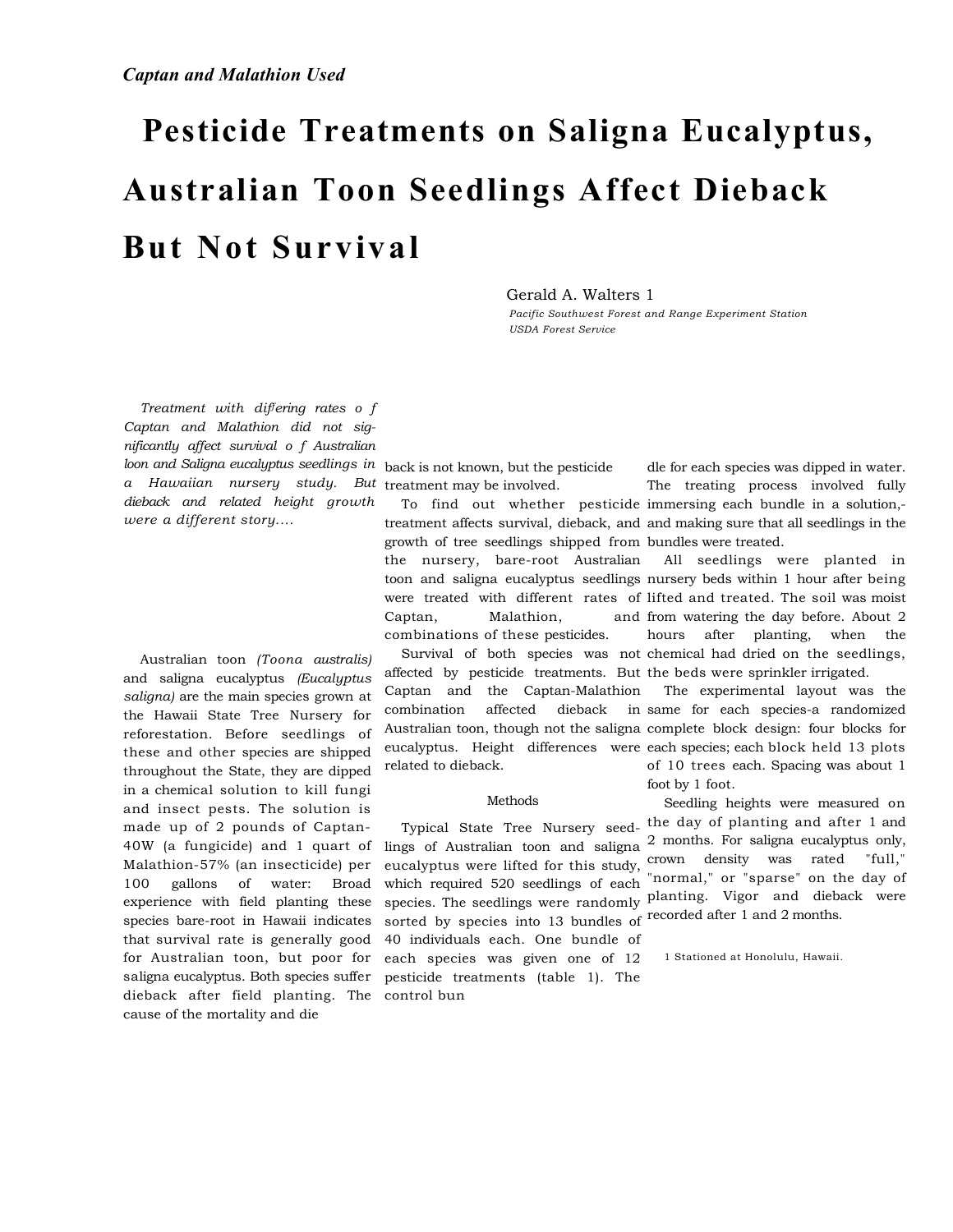# **Pesticide Treatments on Saligna Eucalyptus, Australian Toon Seedlings Affect Dieback But Not Survival**

Gerald A. Walters 1

*Pacific Southwest Forest and Range Experiment Station USDA Forest Service* 

*Treatment with differing rates o f Captan and Malathion did not significantly affect survival o f Australian loon and Saligna eucalyptus seedlings in*  back is not known, but the pesticide *a Hawaiian nursery study. But*  treatment may be involved. *dieback and related height growth were a different story....* 

Australian toon *(Toona australis)*  and saligna eucalyptus *(Eucalyptus saligna)* are the main species grown at the Hawaii State Tree Nursery for reforestation. Before seedlings of these and other species are shipped throughout the State, they are dipped in a chemical solution to kill fungi and insect pests. The solution is made up of 2 pounds of Captan-40W (a fungicide) and 1 quart of Malathion-57% (an insecticide) per 100 gallons of water: Broad experience with field planting these species bare-root in Hawaii indicates that survival rate is generally good for Australian toon, but poor for saligna eucalyptus. Both species suffer dieback after field planting. The control bun cause of the mortality and die

growth of tree seedlings shipped from bundles were treated. the nursery, bare-root Australian Captan, Malathion, combinations of these pesticides.

affected by pesticide treatments. But the beds were sprinkler irrigated. Captan and the Captan-Malathion combination affected dieback related to dieback.

# Methods

Typical State Tree Nursery seedlings of Australian toon and saligna eucalyptus were lifted for this study, which required 520 seedlings of each sorted by species into 13 bundles of 40 individuals each. One bundle of each species was given one of 12 pesticide treatments (table 1). The

To find out whether pesticide immersing each bundle in a solution,treatment affects survival, dieback, and and making sure that all seedlings in the dle for each species was dipped in water. The treating process involved fully

toon and saligna eucalyptus seedlings nursery beds within 1 hour after being were treated with different rates of lifted and treated. The soil was moist Survival of both species was not chemical had dried on the seedlings, All seedlings were planted in and from watering the day before. About 2 hours after planting, when the

Australian toon, though not the saligna complete block design: four blocks for eucalyptus. Height differences were each species; each block held 13 plots The experimental layout was the in same for each species-a randomized of 10 trees each. Spacing was about 1 foot by 1 foot.

species. The seedlings were randomly planting. Vigor and dieback were Seedling heights were measured on the day of planting and after 1 and 2 months. For saligna eucalyptus only, crown density was rated "full," "normal," or "sparse" on the day of recorded after 1 and 2 months.

1 Stationed at Honolulu, Hawaii.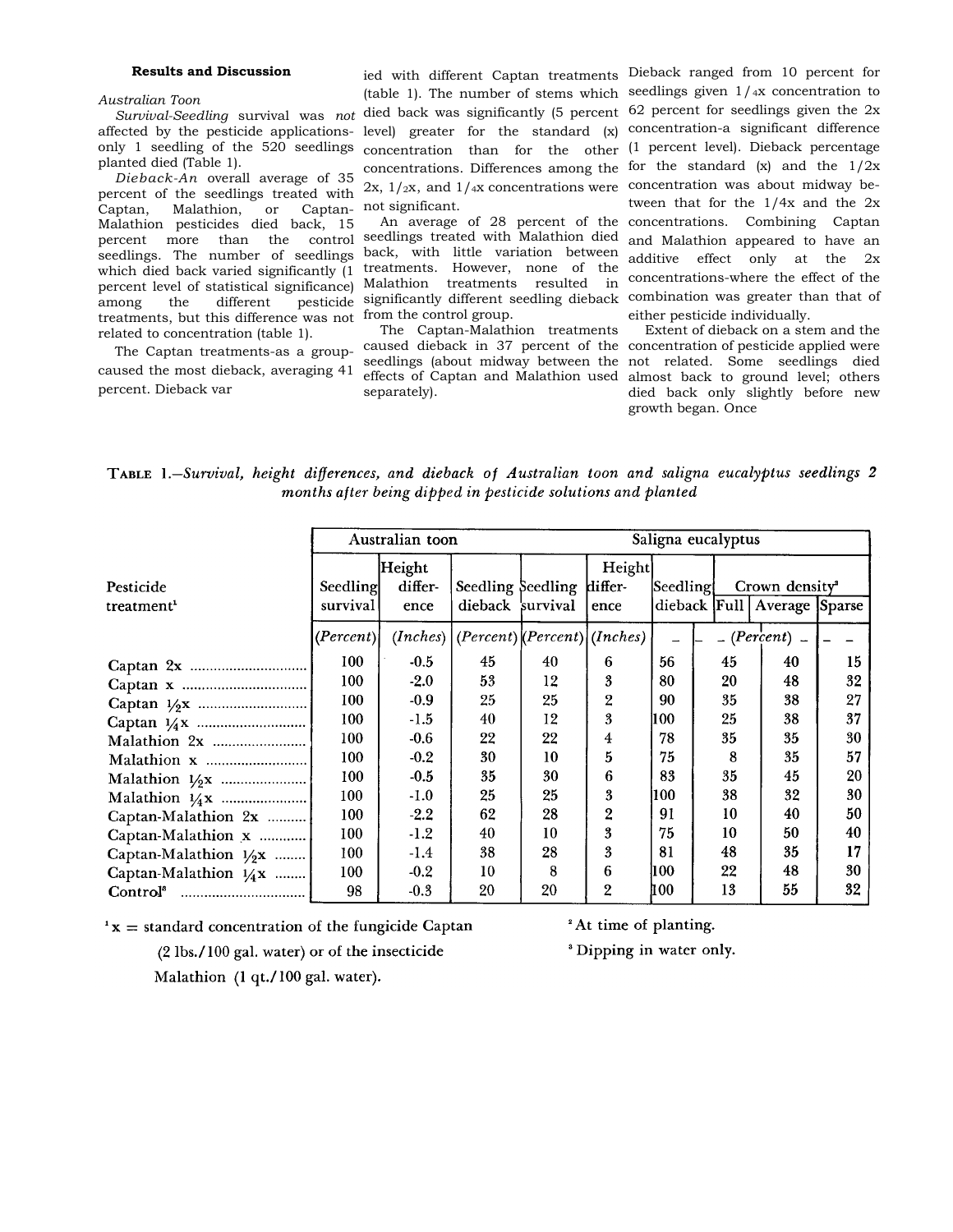#### **Results and Discussion**

### *Australian Toon*

*Survival-Seedling* survival was *not*  affected by the pesticide applicationsonly 1 seedling of the 520 seedlings planted died (Table 1).

*Dieback-An* overall average of 35 percent of the seedlings treated with Captan, Malathion, or Captan-Malathion pesticides died back, 15 percent more than the control seedlings. The number of seedlings which died back varied significantly (1 percent level of statistical significance) among the different pesticide treatments, but this difference was not from the control group. related to concentration (table 1).

The Captan treatments-as a groupcaused the most dieback, averaging 41 percent. Dieback var

ied with different Captan treatments Dieback ranged from 10 percent for (table 1). The number of stems which seedlings given 1/4x concentration to died back was significantly (5 percent 62 percent for seedlings given the 2x level) greater for the standard (x) concentration-a significant difference concentration than for the other (1 percent level). Dieback percentage concentrations. Differences among the for the standard  $(x)$  and the  $1/2x$  $2x$ ,  $1/x$ , and  $1/x$  concentrations were concentration was about midway benot significant.

seedlings treated with Malathion died back, with little variation between treatments. However, none of the Malathion treatments resulted in significantly different seedling dieback combination was greater than that of

The Captan-Malathion treatments separately).

An average of 28 percent of the concentrations. Combining Captan tween that for the 1/4x and the 2x and Malathion appeared to have an additive effect only at the 2x concentrations-where the effect of the either pesticide individually.

caused dieback in 37 percent of the concentration of pesticide applied were seedlings (about midway between the not related. Some seedlings died effects of Captan and Malathion used almost back to ground level; others Extent of dieback on a stem and the died back only slightly before new growth began. Once

TABLE 1.-Survival, height differences, and dieback of Australian toon and saligna eucalyptus seedlings 2 months after being dipped in pesticide solutions and planted

|                          | Australian toon |                   |                                               |    |                   | Saligna eucalyptus |    |                                 |    |
|--------------------------|-----------------|-------------------|-----------------------------------------------|----|-------------------|--------------------|----|---------------------------------|----|
| Pesticide                | Seedling        | Height<br>differ- | Seedling Seedling                             |    | Height<br>differ- | Seedling           |    | Crown density <sup>2</sup>      |    |
| treatment <sup>1</sup>   | survival        | ence              | dieback survival                              |    | ence              |                    |    | dieback Full   Average   Sparse |    |
|                          | (Percent)       |                   | $(Inches)   (Percent)   (Percent)   (Inches)$ |    |                   |                    |    | $-(Percent)$ $-$                |    |
|                          | 100             | $-0.5$            | 45                                            | 40 | 6                 | 56                 | 45 | 40                              | 15 |
|                          | 100             | $-2.0$            | 53                                            | 12 | 3                 | 80                 | 20 | 48                              | 32 |
|                          | 100             | $-0.9$            | 25                                            | 25 | 2                 | 90                 | 35 | 38                              | 27 |
|                          | 100             | $-1.5$            | 40                                            | 12 | 3                 | 11 OO              | 25 | 38                              | 37 |
|                          | 100             | $-0.6$            | 22                                            | 22 | 4                 | 78                 | 35 | 35                              | 30 |
|                          | 100             | $-0.2$            | 30                                            | 10 | 5                 | 75                 | 8  | 35                              | 57 |
|                          | 100             | $-0.5$            | 35                                            | 30 | 6                 | 83                 | 35 | 45                              | 20 |
|                          | 100             | $-1.0$            | 25                                            | 25 | 3                 | 100                | 38 | 32                              | 30 |
| Captan-Malathion 2x      | 100             | $-2.2$            | 62                                            | 28 | 2                 | 91                 | 10 | 40                              | 50 |
| Captan-Malathion x       | 100             | $-1.2$            | 40                                            | 10 | 3                 | 75                 | 10 | 50                              | 40 |
| Captan-Malathion $1/2$ x | 100             | $-1.4$            | 38                                            | 28 | 3                 | 81                 | 48 | 35                              | 17 |
| Captan-Malathion $1/4x$  | 100             | $-0.2$            | 10                                            | 8  | 6                 | 100                | 22 | 48                              | 30 |
| Control <sup>s</sup>     | 98              | $-0.3$            | 20                                            | 20 | $\overline{2}$    | 100                | 13 | 55                              | 32 |

 $x =$  standard concentration of the fungicide Captan

 $(2 \text{ lbs.}/100 \text{ gal. water})$  or of the insecticide

<sup>2</sup> At time of planting.

<sup>3</sup> Dipping in water only.

Malathion (1 qt./100 gal. water).